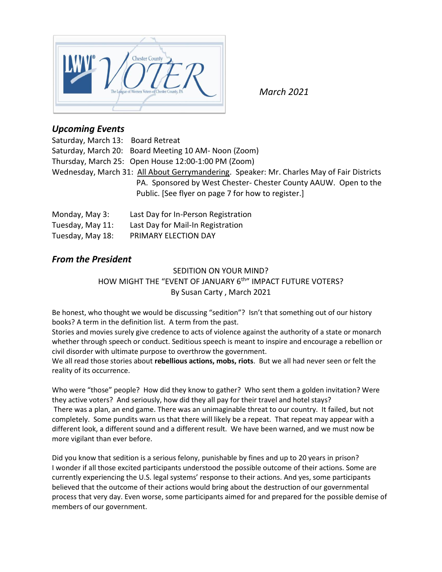

*March 2021*

# *Upcoming Events*

| Saturday, March 13: Board Retreat                                                         |                                                                |  |  |
|-------------------------------------------------------------------------------------------|----------------------------------------------------------------|--|--|
|                                                                                           | Saturday, March 20: Board Meeting 10 AM- Noon (Zoom)           |  |  |
|                                                                                           | Thursday, March 25: Open House 12:00-1:00 PM (Zoom)            |  |  |
| Wednesday, March 31: All About Gerrymandering. Speaker: Mr. Charles May of Fair Districts |                                                                |  |  |
|                                                                                           | PA. Sponsored by West Chester-Chester County AAUW. Open to the |  |  |
|                                                                                           | Public. [See flyer on page 7 for how to register.]             |  |  |
|                                                                                           |                                                                |  |  |

| Monday, May 3:   | Last Day for In-Person Registration |
|------------------|-------------------------------------|
| Tuesday, May 11: | Last Day for Mail-In Registration   |
| Tuesday, May 18: | PRIMARY ELECTION DAY                |

# *From the President*

# SEDITION ON YOUR MIND? HOW MIGHT THE "EVENT OF JANUARY 6<sup>th</sup>" IMPACT FUTURE VOTERS? By Susan Carty , March 2021

Be honest, who thought we would be discussing "sedition"? Isn't that something out of our history books? A term in the definition list. A term from the past.

Stories and movies surely give credence to acts of violence against the authority of a state or monarch whether through speech or conduct. Seditious speech is meant to inspire and encourage a rebellion or civil disorder with ultimate purpose to overthrow the government.

We all read those stories about **rebellious actions, mobs, riots**. But we all had never seen or felt the reality of its occurrence.

Who were "those" people? How did they know to gather? Who sent them a golden invitation? Were they active voters? And seriously, how did they all pay for their travel and hotel stays? There was a plan, an end game. There was an unimaginable threat to our country. It failed, but not completely. Some pundits warn us that there will likely be a repeat. That repeat may appear with a different look, a different sound and a different result. We have been warned, and we must now be more vigilant than ever before.

Did you know that sedition is a serious felony, punishable by fines and up to 20 years in prison? I wonder if all those excited participants understood the possible outcome of their actions. Some are currently experiencing the U.S. legal systems' response to their actions. And yes, some participants believed that the outcome of their actions would bring about the destruction of our governmental process that very day. Even worse, some participants aimed for and prepared for the possible demise of members of our government.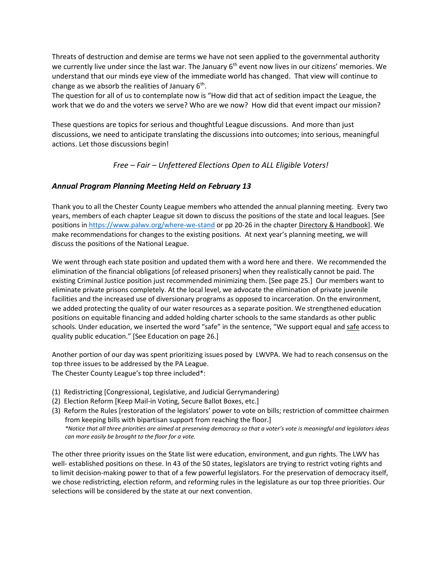Threats of destruction and demise are terms we have not seen applied to the governmental authority we currently live under since the last war. The January 6<sup>th</sup> event now lives in our citizens' memories. We understand that our minds eye view of the immediate world has changed. That view will continue to change as we absorb the realities of January 6<sup>th</sup>.

The question for all of us to contemplate now is "How did that act of sedition impact the League, the work that we do and the voters we serve? Who are we now? How did that event impact our mission?

These questions are topics for serious and thoughtful League discussions. And more than just discussions, we need to anticipate translating the discussions into outcomes; into serious, meaningful actions. Let those discussions begin!

### *Free – Fair – Unfettered Elections Open to ALL Eligible Voters!*

### *Annual Program Planning Meeting Held on February 13*

Thank you to all the Chester County League members who attended the annual planning meeting. Every two years, members of each chapter League sit down to discuss the positions of the state and local leagues. [See positions in <https://www.palwv.org/where-we-stand> or pp 20-26 in the chapter Directory & Handbook]. We make recommendations for changes to the existing positions. At next year's planning meeting, we will discuss the positions of the National League.

We went through each state position and updated them with a word here and there. We recommended the elimination of the financial obligations [of released prisoners] when they realistically cannot be paid. The existing Criminal Justice position just recommended minimizing them. [See page 25.] Our members want to eliminate private prisons completely. At the local level, we advocate the elimination of private juvenile facilities and the increased use of diversionary programs as opposed to incarceration. On the environment, we added protecting the quality of our water resources as a separate position. We strengthened education positions on equitable financing and added holding charter schools to the same standards as other public schools. Under education, we inserted the word "safe" in the sentence, "We support equal and safe access to quality public education." [See Education on page 26.]

Another portion of our day was spent prioritizing issues posed by LWVPA. We had to reach consensus on the top three issues to be addressed by the PA League. The Chester County League's top three included\*:

- (1) Redistricting [Congressional, Legislative, and Judicial Gerrymandering)
- (2) Election Reform [Keep Mail-in Voting, Secure Ballot Boxes, etc.]
- (3) Reform the Rules [restoration of the legislators' power to vote on bills; restriction of committee chairmen from keeping bills with bipartisan support from reaching the floor.] *\*Notice that all three priorities are aimed at preserving democracy so that a voter's vote is meaningful and legislators ideas can more easily be brought to the floor for a vote.*

The other three priority issues on the State list were education, environment, and gun rights. The LWV has well- established positions on these. In 43 of the 50 states, legislators are trying to restrict voting rights and to limit decision-making power to that of a few powerful legislators. For the preservation of democracy itself, we chose redistricting, election reform, and reforming rules in the legislature as our top three priorities. Our selections will be considered by the state at our next convention.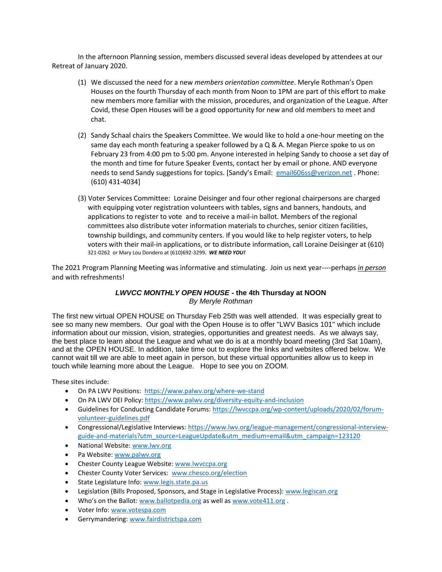In the afternoon Planning session, members discussed several ideas developed by attendees at our Retreat of January 2020.

- (1) We discussed the need for a new *members orientation committee*. Meryle Rothman's Open Houses on the fourth Thursday of each month from Noon to 1PM are part of this effort to make new members more familiar with the mission, procedures, and organization of the League. After Covid, these Open Houses will be a good opportunity for new and old members to meet and chat.
- (2) Sandy Schaal chairs the Speakers Committee. We would like to hold a one-hour meeting on the same day each month featuring a speaker followed by a Q & A. Megan Pierce spoke to us on February 23 from 4:00 pm to 5:00 pm. Anyone interested in helping Sandy to choose a set day of the month and time for future Speaker Events, contact her by email or phone. AND everyone needs to send Sandy suggestions for topics. [Sandy's Email: [email606ss@verizon.net](mailto:email606ss@verizon.net) . Phone: (610) 431-4034]
- (3) Voter Services Committee: Loraine Deisinger and four other regional chairpersons are charged with equipping voter registration volunteers with tables, signs and banners, handouts, and applications to register to vote and to receive a mail-in ballot. Members of the regional committees also distribute voter information materials to churches, senior citizen facilities, township buildings, and community centers. If you would like to help register voters, to help voters with their mail-in applications, or to distribute information, call Loraine Deisinger at (610) 321-0262 or Mary Lou Dondero at (610)692-3299**.** *WE NEED YOU!*

The 2021 Program Planning Meeting was informative and stimulating. Join us next year----perhaps *in person* and with refreshments!

### *LWVCC MONTHLY OPEN HOUSE* **- the 4th Thursday at NOON** *By Meryle Rothman*

The first new virtual OPEN HOUSE on Thursday Feb 25th was well attended. It was especially great to see so many new members. Our goal with the Open House is to offer "LWV Basics 101" which include information about our mission, vision, strategies, opportunities and greatest needs. As we always say, the best place to learn about the League and what we do is at a monthly board meeting (3rd Sat 10am), and at the OPEN HOUSE. In addition, take time out to explore the links and websites offered below. We cannot wait till we are able to meet again in person, but these virtual opportunities allow us to keep in touch while learning more about the League. Hope to see you on ZOOM.

These sites include:

- On PA LWV Positions: <https://www.palwv.org/where-we-stand>
- On PA LWV DEI Policy:<https://www.palwv.org/diversity-equity-and-inclusion>
- Guidelines for Conducting Candidate Forums[: https://lwvccpa.org/wp-content/uploads/2020/02/forum](https://lwvccpa.org/wp-content/uploads/2020/02/forum-volunteer-guidelines.pdf)[volunteer-guidelines.pdf](https://lwvccpa.org/wp-content/uploads/2020/02/forum-volunteer-guidelines.pdf)
- Congressional/Legislative Interviews[: https://www.lwv.org/league-management/congressional-interview](https://www.lwv.org/league-management/congressional-interview-guide-and-materials?utm_source=LeagueUpdate&utm_medium=email&utm_campaign=123120)[guide-and-materials?utm\\_source=LeagueUpdate&utm\\_medium=email&utm\\_campaign=123120](https://www.lwv.org/league-management/congressional-interview-guide-and-materials?utm_source=LeagueUpdate&utm_medium=email&utm_campaign=123120)
- National Website: [www.lwv.org](http://www.lwv.org/)
- Pa Website: [www.palwv.org](http://www.palwv.org/)
- Chester County League Website[: www.lwvccpa.org](http://www.lwvccpa.org/)
- Chester County Voter Services: [www.chesco.org/election](http://www.chesco.org/election)
- State Legislature Info: [www.legis.state.pa.us](http://www.legis.state.pa.us/)
- Legislation (Bills Proposed, Sponsors, and Stage in Legislative Process)[: www.legiscan.org](http://www.legiscan.org/)
- Who's on the Ballot: [www.ballotpedia.org](http://www.ballotpedia.org/) as well as [www.vote411.org](http://www.vote411.org/).
- Voter Info: [www.votespa.com](http://www.votespa.com/)
- Gerrymandering[: www.fairdistrictspa.com](http://www.fairdistrictspa.com/)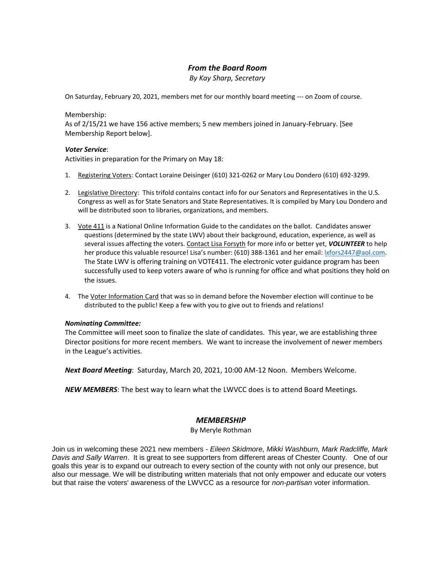## *From the Board Room*

*By Kay Sharp, Secretary*

On Saturday, February 20, 2021, members met for our monthly board meeting --- on Zoom of course.

#### Membership:

As of 2/15/21 we have 156 active members; 5 new members joined in January-February. [See Membership Report below].

#### *Voter Service*:

Activities in preparation for the Primary on May 18:

- 1. Registering Voters: Contact Loraine Deisinger (610) 321-0262 or Mary Lou Dondero (610) 692-3299.
- 2. Legislative Directory: This trifold contains contact info for our Senators and Representatives in the U.S. Congress as well as for State Senators and State Representatives. It is compiled by Mary Lou Dondero and will be distributed soon to libraries, organizations, and members.
- 3. Vote 411 is a National Online Information Guide to the candidates on the ballot. Candidates answer questions (determined by the state LWV) about their background, education, experience, as well as several issues affecting the voters. Contact Lisa Forsyth for more info or better yet, *VOLUNTEER* to help her produce this valuable resource! Lisa's number: (610) 388-1361 and her email[: lxfors2447@aol.com.](mailto:lxfors2447@aol.com) The State LWV is offering training on VOTE411. The electronic voter guidance program has been successfully used to keep voters aware of who is running for office and what positions they hold on the issues.
- 4. The Voter Information Card that was so in demand before the November election will continue to be distributed to the public! Keep a few with you to give out to friends and relations!

#### *Nominating Committee:*

The Committee will meet soon to finalize the slate of candidates. This year, we are establishing three Director positions for more recent members. We want to increase the involvement of newer members in the League's activities.

*Next Board Meeting*: Saturday, March 20, 2021, 10:00 AM-12 Noon. Members Welcome.

*NEW MEMBERS*: The best way to learn what the LWVCC does is to attend Board Meetings.

### *MEMBERSHIP*

By Meryle Rothman

Join us in welcoming these 2021 new members - *Eileen Skidmore, Mikki Washburn, Mark Radcliffe, Mark Davis and Sally Warren*. It is great to see supporters from different areas of Chester County. One of our goals this year is to expand our outreach to every section of the county with not only our presence, but also our message. We will be distributing written materials that not only empower and educate our voters but that raise the voters' awareness of the LWVCC as a resource for *non-partisan* voter information.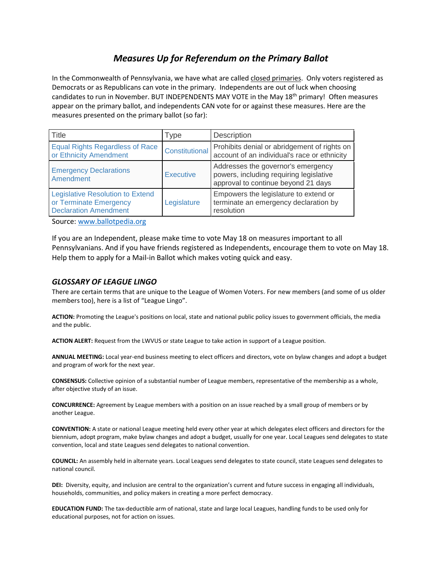# *Measures Up for Referendum on the Primary Ballot*

In the Commonwealth of Pennsylvania, we have what are called closed primaries. Only voters registered as Democrats or as Republicans can vote in the primary. Independents are out of luck when choosing candidates to run in November. BUT INDEPENDENTS MAY VOTE in the May 18<sup>th</sup> primary! Often measures appear on the primary ballot, and independents CAN vote for or against these measures. Here are the measures presented on the primary ballot (so far):

| Title                                                                                             | <b>Type</b>           | Description                                                                                                          |
|---------------------------------------------------------------------------------------------------|-----------------------|----------------------------------------------------------------------------------------------------------------------|
| <b>Equal Rights Regardless of Race</b><br>or Ethnicity Amendment                                  | <b>Constitutional</b> | Prohibits denial or abridgement of rights on<br>account of an individual's race or ethnicity                         |
| <b>Emergency Declarations</b><br>Amendment                                                        | <b>Executive</b>      | Addresses the governor's emergency<br>powers, including requiring legislative<br>approval to continue beyond 21 days |
| <b>Legislative Resolution to Extend</b><br>or Terminate Emergency<br><b>Declaration Amendment</b> | Legislature           | Empowers the legislature to extend or<br>terminate an emergency declaration by<br>resolution                         |

Source: [www.ballotpedia.org](http://www.ballotpedia.org/)

If you are an Independent, please make time to vote May 18 on measures important to all Pennsylvanians. And if you have friends registered as Independents, encourage them to vote on May 18. Help them to apply for a Mail-in Ballot which makes voting quick and easy.

### *GLOSSARY OF LEAGUE LINGO*

There are certain terms that are unique to the League of Women Voters. For new members (and some of us older members too), here is a list of "League Lingo".

**ACTION:** Promoting the League's positions on local, state and national public policy issues to government officials, the media and the public.

**ACTION ALERT:** Request from the LWVUS or state League to take action in support of a League position.

**ANNUAL MEETING:** Local year-end business meeting to elect officers and directors, vote on bylaw changes and adopt a budget and program of work for the next year.

**CONSENSUS:** Collective opinion of a substantial number of League members, representative of the membership as a whole, after objective study of an issue.

**CONCURRENCE:** Agreement by League members with a position on an issue reached by a small group of members or by another League.

**CONVENTION:** A state or national League meeting held every other year at which delegates elect officers and directors for the biennium, adopt program, make bylaw changes and adopt a budget, usually for one year. Local Leagues send delegates to state convention, local and state Leagues send delegates to national convention.

**COUNCIL:** An assembly held in alternate years. Local Leagues send delegates to state council, state Leagues send delegates to national council.

**DEI:** Diversity, equity, and inclusion are central to the organization's current and future success in engaging all individuals, households, communities, and policy makers in creating a more perfect democracy.

**EDUCATION FUND:** The tax-deductible arm of national, state and large local Leagues, handling funds to be used only for educational purposes, not for action on issues.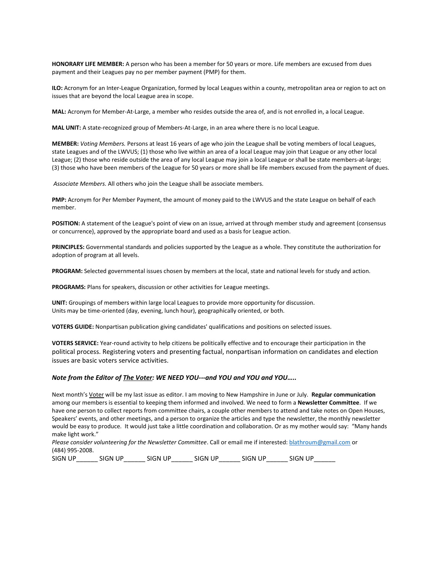**HONORARY LIFE MEMBER:** A person who has been a member for 50 years or more. Life members are excused from dues payment and their Leagues pay no per member payment (PMP) for them.

**ILO:** Acronym for an Inter-League Organization, formed by local Leagues within a county, metropolitan area or region to act on issues that are beyond the local League area in scope.

**MAL:** Acronym for Member-At-Large, a member who resides outside the area of, and is not enrolled in, a local League.

**MAL UNIT:** A state-recognized group of Members-At-Large, in an area where there is no local League.

**MEMBER:** *Voting Members.* Persons at least 16 years of age who join the League shall be voting members of local Leagues, state Leagues and of the LWVUS; (1) those who live within an area of a local League may join that League or any other local League; (2) those who reside outside the area of any local League may join a local League or shall be state members-at-large; (3) those who have been members of the League for 50 years or more shall be life members excused from the payment of dues.

*Associate Members.* All others who join the League shall be associate members.

**PMP:** Acronym for Per Member Payment, the amount of money paid to the LWVUS and the state League on behalf of each member.

**POSITION:** A statement of the League's point of view on an issue, arrived at through member study and agreement (consensus or concurrence), approved by the appropriate board and used as a basis for League action.

**PRINCIPLES:** Governmental standards and policies supported by the League as a whole. They constitute the authorization for adoption of program at all levels.

**PROGRAM:** Selected governmental issues chosen by members at the local, state and national levels for study and action.

**PROGRAMS:** Plans for speakers, discussion or other activities for League meetings.

**UNIT:** Groupings of members within large local Leagues to provide more opportunity for discussion. Units may be time-oriented (day, evening, lunch hour), geographically oriented, or both.

**VOTERS GUIDE:** Nonpartisan publication giving candidates' qualifications and positions on selected issues.

**VOTERS SERVICE:** Year-round activity to help citizens be politically effective and to encourage their participation in the political process. Registering voters and presenting factual, nonpartisan information on candidates and election issues are basic voters service activities.

#### *Note from the Editor of The Voter: WE NEED YOU---and YOU and YOU and YOU…..*

Next month's Voter will be my last issue as editor. I am moving to New Hampshire in June or July. **Regular communication**  among our members is essential to keeping them informed and involved. We need to form a **Newsletter Committee**. If we have one person to collect reports from committee chairs, a couple other members to attend and take notes on Open Houses, Speakers' events, and other meetings, and a person to organize the articles and type the newsletter, the monthly newsletter would be easy to produce. It would just take a little coordination and collaboration. Or as my mother would say: "Many hands make light work."

*Please consider volunteering for the Newsletter Committee*. Call or email me if interested: [blathroum@gmail.com](mailto:blathroum@gmail.com) or (484) 995-2008.

SIGN UP\_\_\_\_\_\_ SIGN UP\_\_\_\_\_\_ SIGN UP\_\_\_\_\_\_ SIGN UP\_\_\_\_\_\_ SIGN UP\_\_\_\_\_\_ SIGN UP\_\_\_\_\_\_